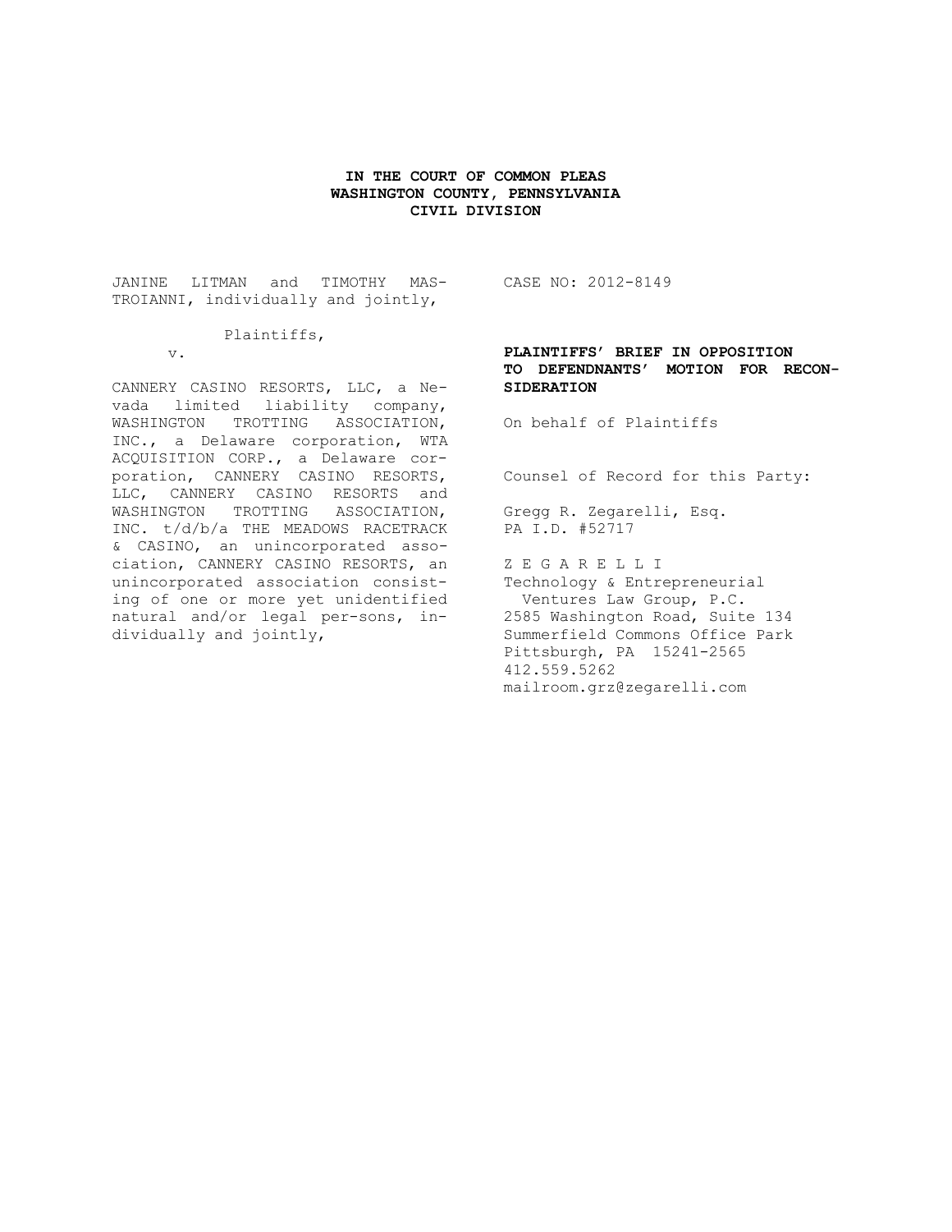### **IN THE COURT OF COMMON PLEAS WASHINGTON COUNTY, PENNSYLVANIA CIVIL DIVISION**

JANINE LITMAN and TIMOTHY MAS-TROIANNI, individually and jointly,

### Plaintiffs,

v.

CANNERY CASINO RESORTS, LLC, a Nevada limited liability company, WASHINGTON TROTTING ASSOCIATION, INC., a Delaware corporation, WTA ACQUISITION CORP., a Delaware corporation, CANNERY CASINO RESORTS, LLC, CANNERY CASINO RESORTS and WASHINGTON TROTTING ASSOCIATION, INC. t/d/b/a THE MEADOWS RACETRACK & CASINO, an unincorporated association, CANNERY CASINO RESORTS, an unincorporated association consisting of one or more yet unidentified natural and/or legal per-sons, individually and jointly,

CASE NO: 2012-8149

## **PLAINTIFFS' BRIEF IN OPPOSITION TO DEFENDNANTS' MOTION FOR RECON-SIDERATION**

On behalf of Plaintiffs

Counsel of Record for this Party:

Gregg R. Zegarelli, Esq. PA I.D. #52717

Z E G A R E L L I Technology & Entrepreneurial Ventures Law Group, P.C. 2585 Washington Road, Suite 134 Summerfield Commons Office Park Pittsburgh, PA 15241-2565 412.559.5262 mailroom.grz@zegarelli.com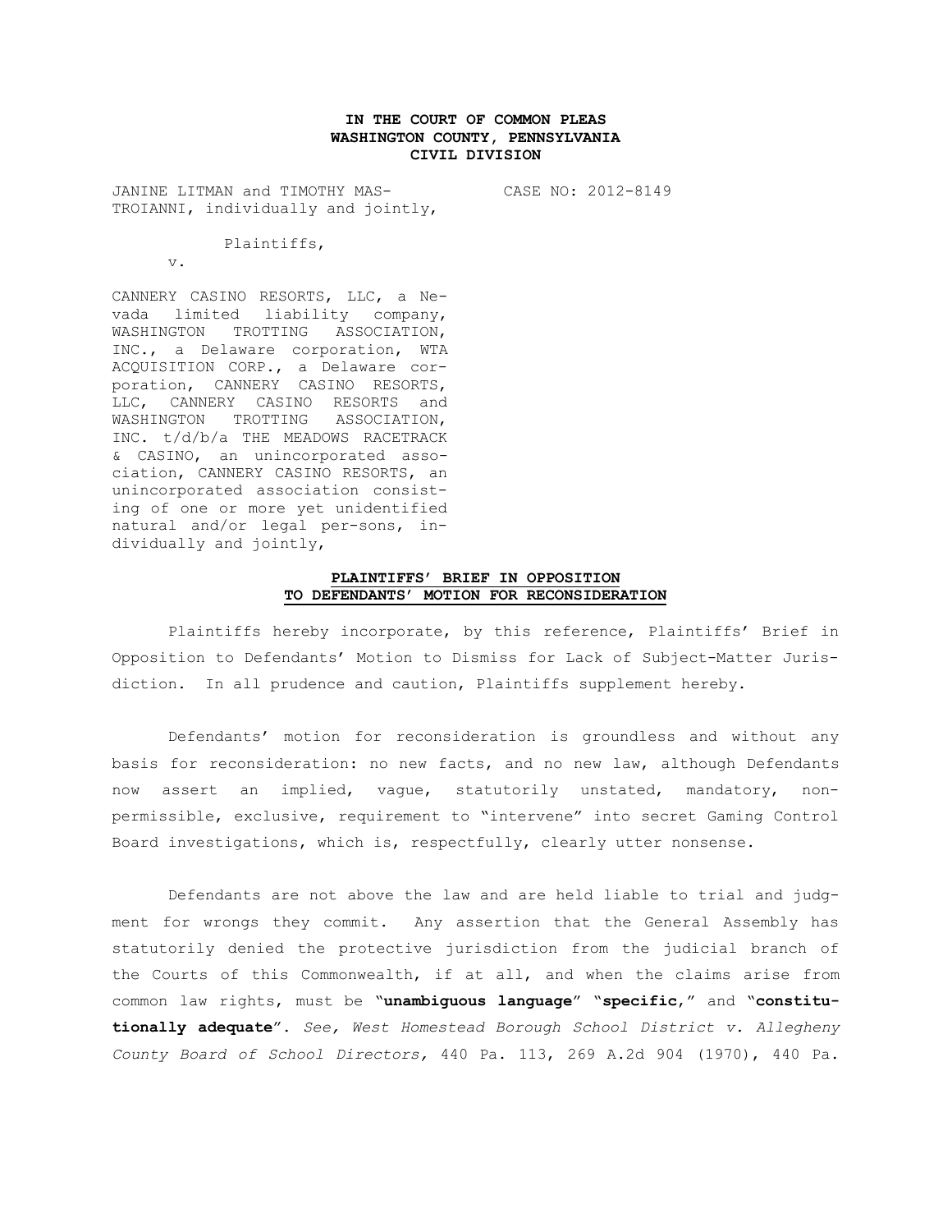## **IN THE COURT OF COMMON PLEAS WASHINGTON COUNTY, PENNSYLVANIA CIVIL DIVISION**

JANINE LITMAN and TIMOTHY MAS-TROIANNI, individually and jointly, CASE NO: 2012-8149

Plaintiffs,

v.

CANNERY CASINO RESORTS, LLC, a Nevada limited liability company, WASHINGTON TROTTING ASSOCIATION, INC., a Delaware corporation, WTA ACQUISITION CORP., a Delaware corporation, CANNERY CASINO RESORTS, LLC, CANNERY CASINO RESORTS and WASHINGTON TROTTING ASSOCIATION, INC. t/d/b/a THE MEADOWS RACETRACK & CASINO, an unincorporated association, CANNERY CASINO RESORTS, an unincorporated association consisting of one or more yet unidentified natural and/or legal per-sons, individually and jointly,

#### **PLAINTIFFS' BRIEF IN OPPOSITION TO DEFENDANTS' MOTION FOR RECONSIDERATION**

Plaintiffs hereby incorporate, by this reference, Plaintiffs' Brief in Opposition to Defendants' Motion to Dismiss for Lack of Subject-Matter Jurisdiction. In all prudence and caution, Plaintiffs supplement hereby.

Defendants' motion for reconsideration is groundless and without any basis for reconsideration: no new facts, and no new law, although Defendants now assert an implied, vague, statutorily unstated, mandatory, nonpermissible, exclusive, requirement to "intervene" into secret Gaming Control Board investigations, which is, respectfully, clearly utter nonsense.

Defendants are not above the law and are held liable to trial and judgment for wrongs they commit. Any assertion that the General Assembly has statutorily denied the protective jurisdiction from the judicial branch of the Courts of this Commonwealth, if at all, and when the claims arise from common law rights, must be "**unambiguous language**" "**specific**," and "**constitutionally adequate**". *See, West Homestead Borough School District v. Allegheny County Board of School Directors,* 440 Pa. 113, 269 A.2d 904 (1970), 440 Pa.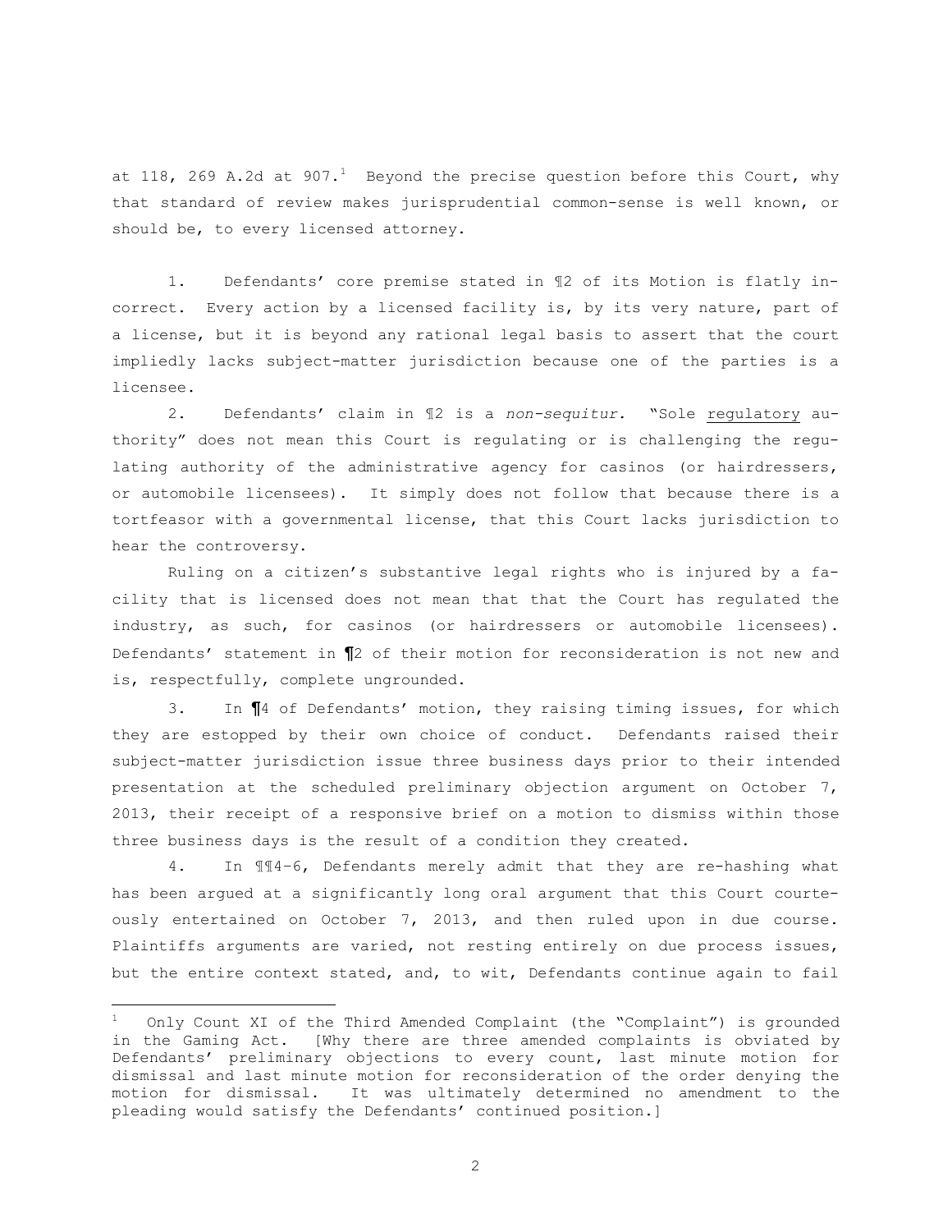at 118, 269 A.2d at 907.<sup>1</sup> Beyond the precise question before this Court, why that standard of review makes jurisprudential common-sense is well known, or should be, to every licensed attorney.

1. Defendants' core premise stated in ¶2 of its Motion is flatly incorrect. Every action by a licensed facility is, by its very nature, part of a license, but it is beyond any rational legal basis to assert that the court impliedly lacks subject-matter jurisdiction because one of the parties is a licensee.

2. Defendants' claim in ¶2 is a *non-sequitur.* "Sole regulatory authority" does not mean this Court is regulating or is challenging the regulating authority of the administrative agency for casinos (or hairdressers, or automobile licensees). It simply does not follow that because there is a tortfeasor with a governmental license, that this Court lacks jurisdiction to hear the controversy.

Ruling on a citizen's substantive legal rights who is injured by a facility that is licensed does not mean that that the Court has regulated the industry, as such, for casinos (or hairdressers or automobile licensees). Defendants' statement in ¶2 of their motion for reconsideration is not new and is, respectfully, complete ungrounded.

3. In ¶4 of Defendants' motion, they raising timing issues, for which they are estopped by their own choice of conduct. Defendants raised their subject-matter jurisdiction issue three business days prior to their intended presentation at the scheduled preliminary objection argument on October 7, 2013, their receipt of a responsive brief on a motion to dismiss within those three business days is the result of a condition they created.

4. In ¶¶4–6, Defendants merely admit that they are re-hashing what has been argued at a significantly long oral argument that this Court courteously entertained on October 7, 2013, and then ruled upon in due course. Plaintiffs arguments are varied, not resting entirely on due process issues, but the entire context stated, and, to wit, Defendants continue again to fail

 $\overline{a}$ 

<sup>1</sup> Only Count XI of the Third Amended Complaint (the "Complaint") is grounded in the Gaming Act. [Why there are three amended complaints is obviated by Defendants' preliminary objections to every count, last minute motion for dismissal and last minute motion for reconsideration of the order denying the motion for dismissal. It was ultimately determined no amendment to the pleading would satisfy the Defendants' continued position.]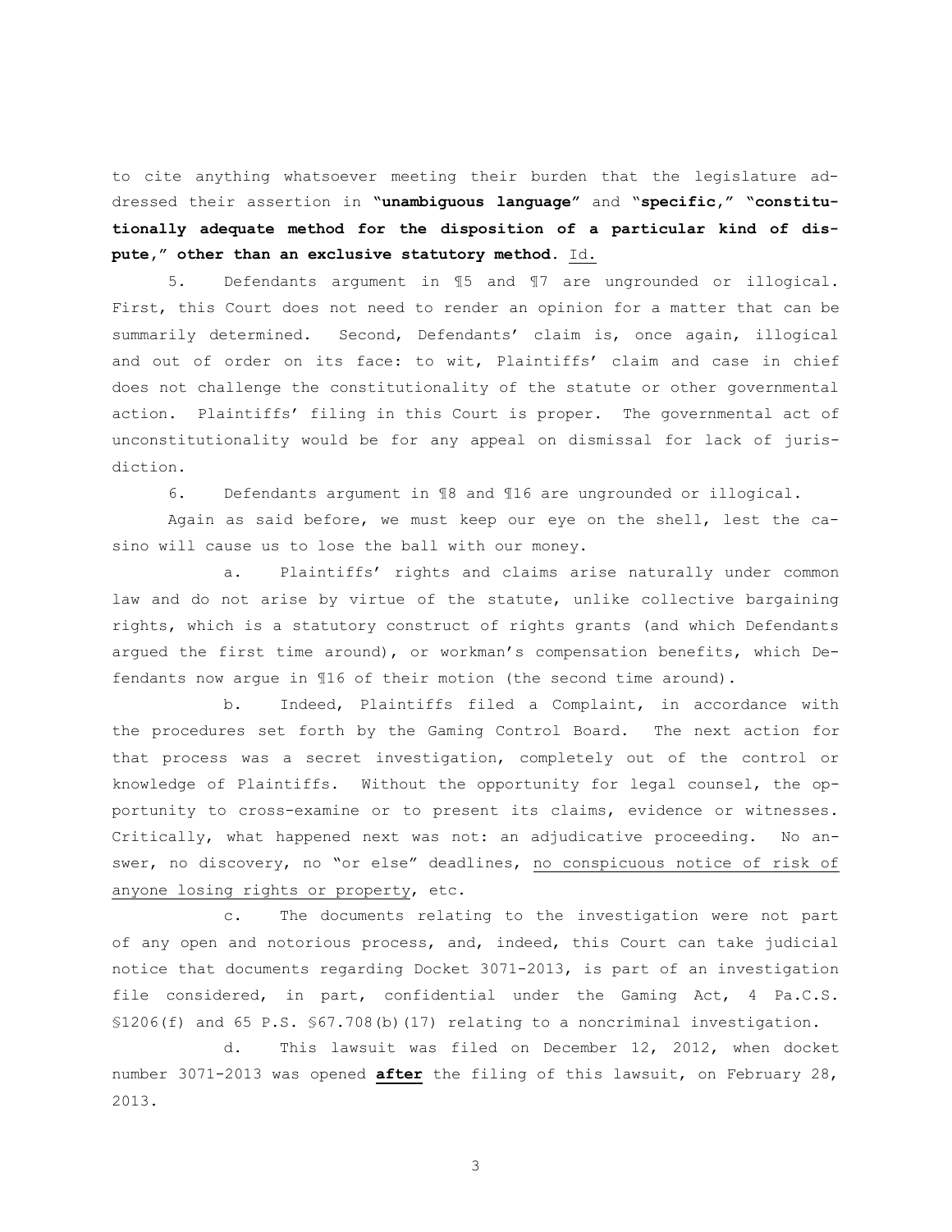to cite anything whatsoever meeting their burden that the legislature addressed their assertion in **"unambiguous language"** and "**specific," "constitutionally adequate method for the disposition of a particular kind of dispute," other than an exclusive statutory method.** Id.

5. Defendants argument in ¶5 and ¶7 are ungrounded or illogical. First, this Court does not need to render an opinion for a matter that can be summarily determined. Second, Defendants' claim is, once again, illogical and out of order on its face: to wit, Plaintiffs' claim and case in chief does not challenge the constitutionality of the statute or other governmental action. Plaintiffs' filing in this Court is proper. The governmental act of unconstitutionality would be for any appeal on dismissal for lack of jurisdiction.

6. Defendants argument in ¶8 and ¶16 are ungrounded or illogical.

Again as said before, we must keep our eye on the shell, lest the casino will cause us to lose the ball with our money.

a. Plaintiffs' rights and claims arise naturally under common law and do not arise by virtue of the statute, unlike collective bargaining rights, which is a statutory construct of rights grants (and which Defendants argued the first time around), or workman's compensation benefits, which Defendants now argue in ¶16 of their motion (the second time around).

b. Indeed, Plaintiffs filed a Complaint, in accordance with the procedures set forth by the Gaming Control Board. The next action for that process was a secret investigation, completely out of the control or knowledge of Plaintiffs. Without the opportunity for legal counsel, the opportunity to cross-examine or to present its claims, evidence or witnesses. Critically, what happened next was not: an adjudicative proceeding. No answer, no discovery, no "or else" deadlines, no conspicuous notice of risk of anyone losing rights or property, etc.

c. The documents relating to the investigation were not part of any open and notorious process, and, indeed, this Court can take judicial notice that documents regarding Docket 3071-2013, is part of an investigation file considered, in part, confidential under the Gaming Act, 4 Pa.C.S. §1206(f) and 65 P.S. §67.708(b)(17) relating to a noncriminal investigation.

d. This lawsuit was filed on December 12, 2012, when docket number 3071-2013 was opened **after** the filing of this lawsuit, on February 28, 2013.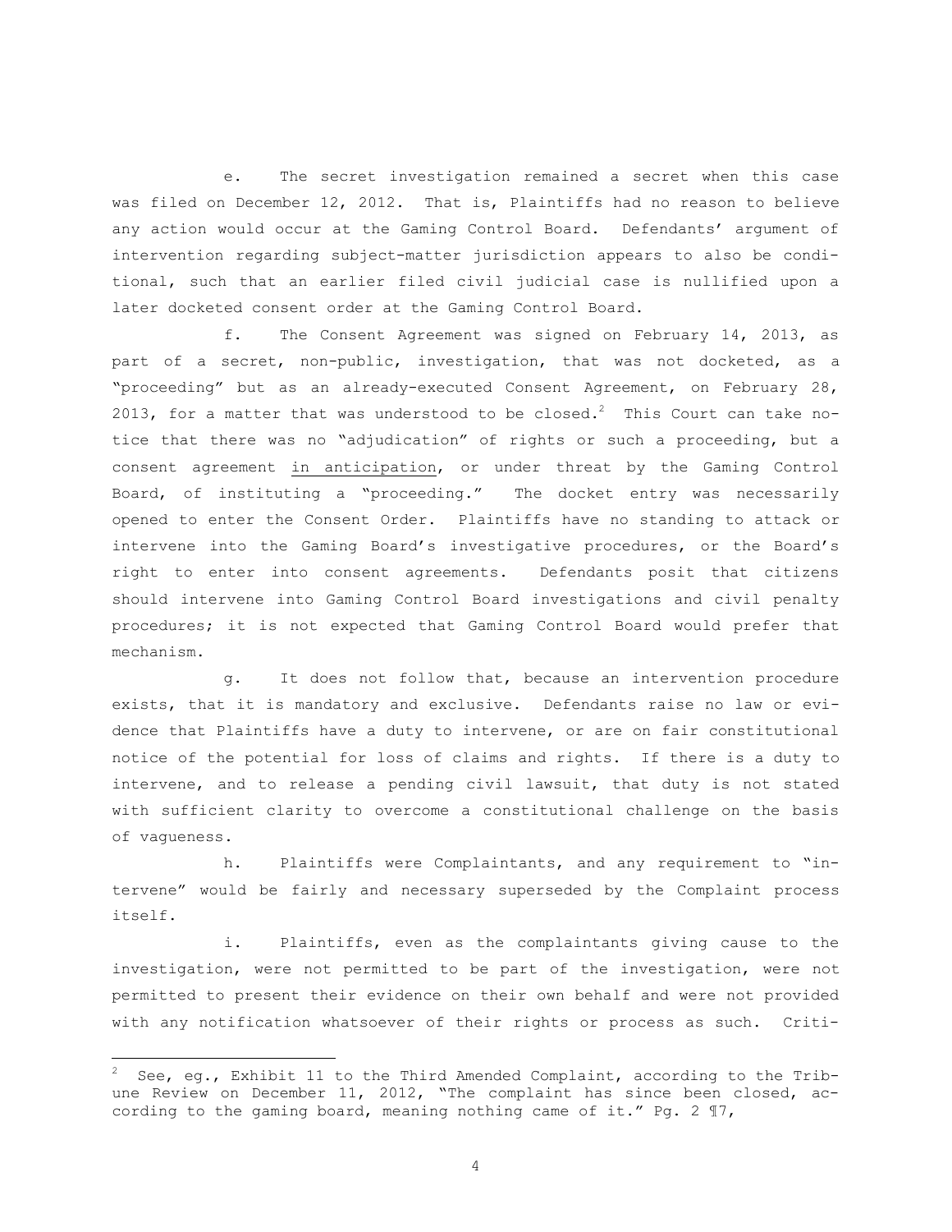e. The secret investigation remained a secret when this case was filed on December 12, 2012. That is, Plaintiffs had no reason to believe any action would occur at the Gaming Control Board. Defendants' argument of intervention regarding subject-matter jurisdiction appears to also be conditional, such that an earlier filed civil judicial case is nullified upon a later docketed consent order at the Gaming Control Board.

f. The Consent Agreement was signed on February 14, 2013, as part of a secret, non-public, investigation, that was not docketed, as a "proceeding" but as an already-executed Consent Agreement, on February 28, 2013, for a matter that was understood to be closed.<sup>2</sup> This Court can take notice that there was no "adjudication" of rights or such a proceeding, but a consent agreement in anticipation, or under threat by the Gaming Control Board, of instituting a "proceeding." The docket entry was necessarily opened to enter the Consent Order. Plaintiffs have no standing to attack or intervene into the Gaming Board's investigative procedures, or the Board's right to enter into consent agreements. Defendants posit that citizens should intervene into Gaming Control Board investigations and civil penalty procedures; it is not expected that Gaming Control Board would prefer that mechanism.

g. It does not follow that, because an intervention procedure exists, that it is mandatory and exclusive. Defendants raise no law or evidence that Plaintiffs have a duty to intervene, or are on fair constitutional notice of the potential for loss of claims and rights. If there is a duty to intervene, and to release a pending civil lawsuit, that duty is not stated with sufficient clarity to overcome a constitutional challenge on the basis of vagueness.

h. Plaintiffs were Complaintants, and any requirement to "intervene" would be fairly and necessary superseded by the Complaint process itself.

i. Plaintiffs, even as the complaintants giving cause to the investigation, were not permitted to be part of the investigation, were not permitted to present their evidence on their own behalf and were not provided with any notification whatsoever of their rights or process as such. Criti-

 $\overline{a}$ 

See, eg., Exhibit 11 to the Third Amended Complaint, according to the Tribune Review on December 11, 2012, "The complaint has since been closed, according to the gaming board, meaning nothing came of it." Pg. 2 ¶7,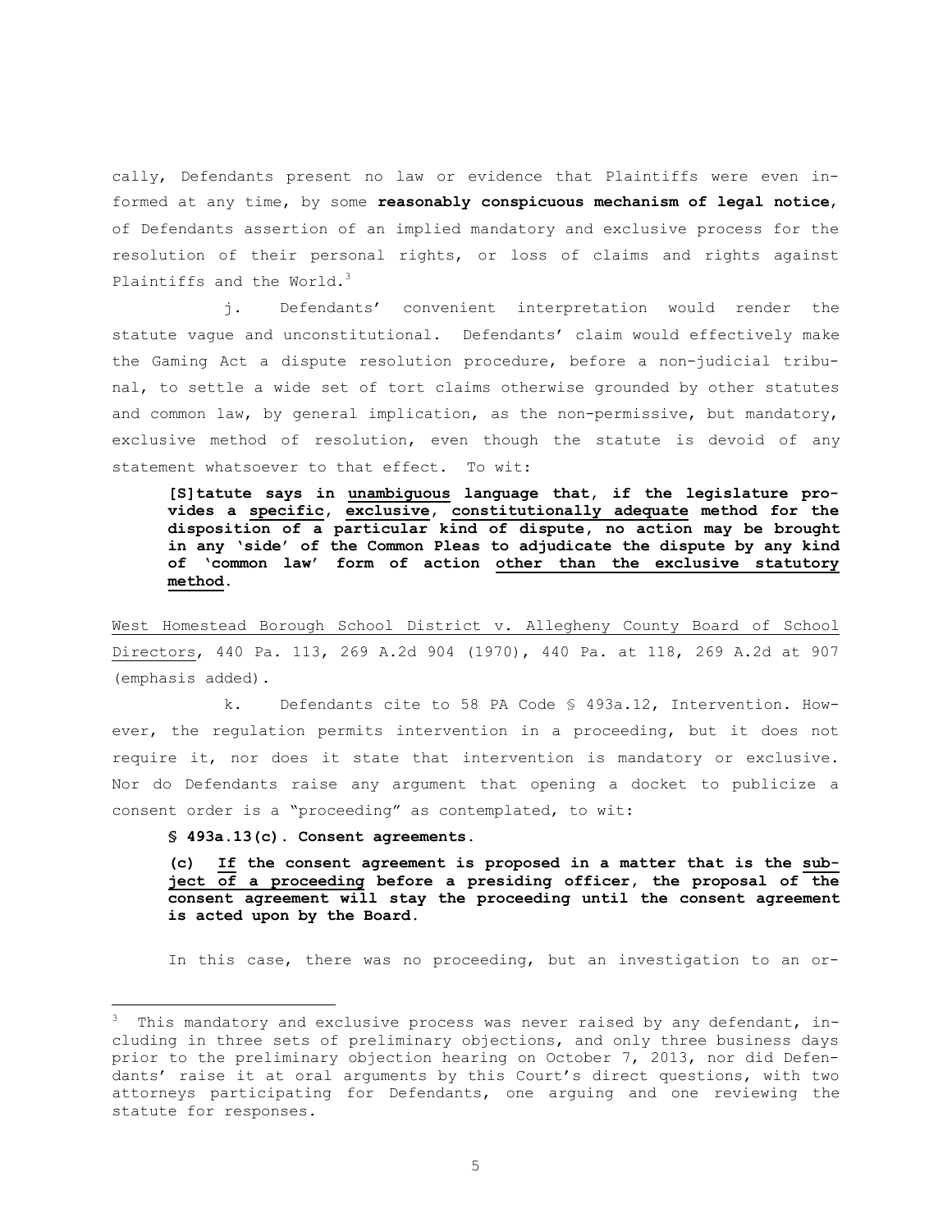cally, Defendants present no law or evidence that Plaintiffs were even informed at any time, by some **reasonably conspicuous mechanism of legal notice**, of Defendants assertion of an implied mandatory and exclusive process for the resolution of their personal rights, or loss of claims and rights against Plaintiffs and the World.<sup>3</sup>

j. Defendants' convenient interpretation would render the statute vague and unconstitutional. Defendants' claim would effectively make the Gaming Act a dispute resolution procedure, before a non-judicial tribunal, to settle a wide set of tort claims otherwise grounded by other statutes and common law, by general implication, as the non-permissive, but mandatory, exclusive method of resolution, even though the statute is devoid of any statement whatsoever to that effect. To wit:

**[S]tatute says in unambiguous language that, if the legislature provides a specific, exclusive, constitutionally adequate method for the disposition of a particular kind of dispute, no action may be brought in any 'side' of the Common Pleas to adjudicate the dispute by any kind of 'common law' form of action other than the exclusive statutory method.** 

West Homestead Borough School District v. Allegheny County Board of School Directors, 440 Pa. 113, 269 A.2d 904 (1970), 440 Pa. at 118, 269 A.2d at 907 (emphasis added).

k. Defendants cite to 58 PA Code § 493a.12, Intervention. However, the regulation permits intervention in a proceeding, but it does not require it, nor does it state that intervention is mandatory or exclusive. Nor do Defendants raise any argument that opening a docket to publicize a consent order is a "proceeding" as contemplated, to wit:

**§ 493a.13(c). Consent agreements.**

 $\overline{a}$ 

**(c) If the consent agreement is proposed in a matter that is the subject of a proceeding before a presiding officer, the proposal of the consent agreement will stay the proceeding until the consent agreement is acted upon by the Board.** 

In this case, there was no proceeding, but an investigation to an or-

This mandatory and exclusive process was never raised by any defendant, including in three sets of preliminary objections, and only three business days prior to the preliminary objection hearing on October 7, 2013, nor did Defendants' raise it at oral arguments by this Court's direct questions, with two attorneys participating for Defendants, one arguing and one reviewing the statute for responses.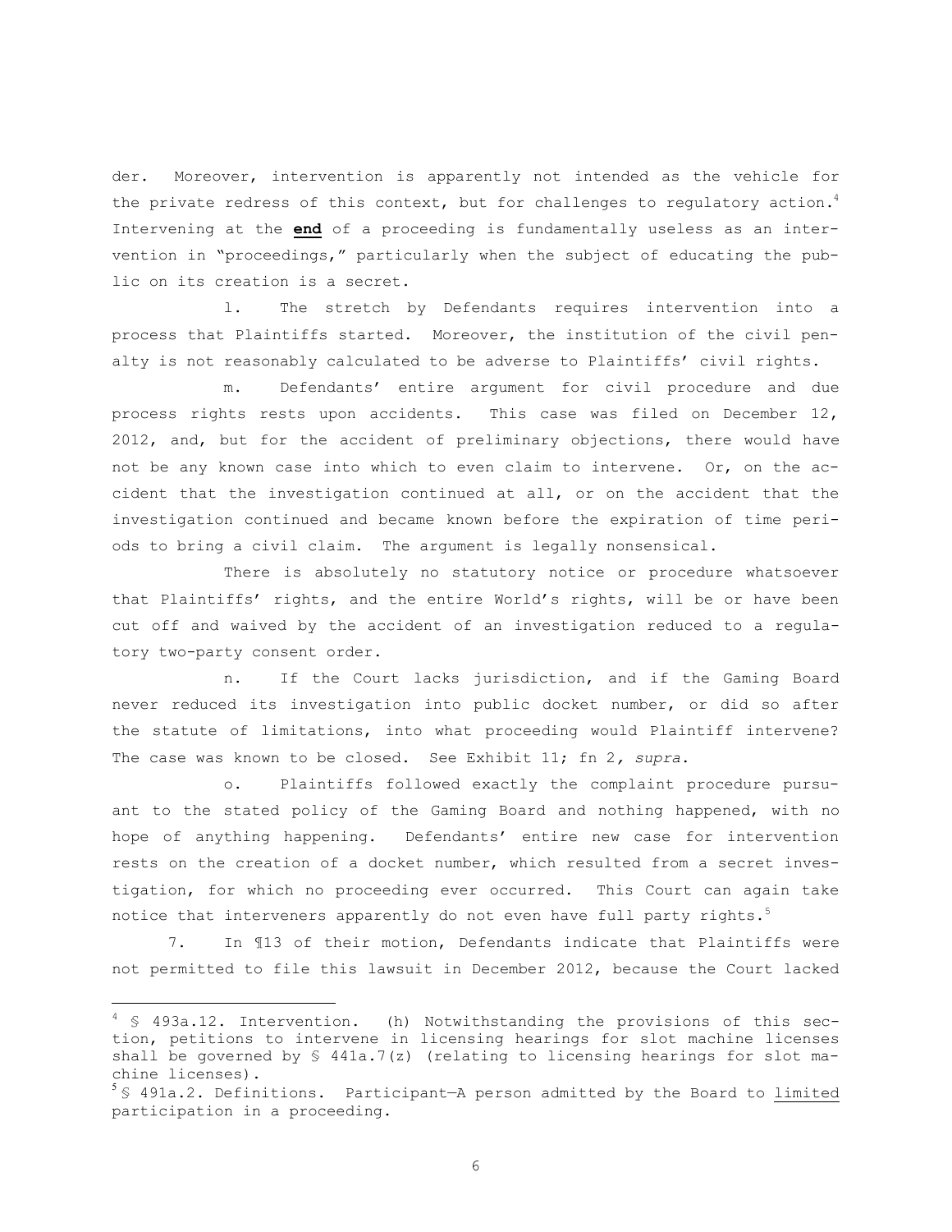der. Moreover, intervention is apparently not intended as the vehicle for the private redress of this context, but for challenges to regulatory action.<sup>4</sup> Intervening at the **end** of a proceeding is fundamentally useless as an intervention in "proceedings," particularly when the subject of educating the public on its creation is a secret.

l. The stretch by Defendants requires intervention into a process that Plaintiffs started. Moreover, the institution of the civil penalty is not reasonably calculated to be adverse to Plaintiffs' civil rights.

m. Defendants' entire argument for civil procedure and due process rights rests upon accidents. This case was filed on December 12, 2012, and, but for the accident of preliminary objections, there would have not be any known case into which to even claim to intervene. Or, on the accident that the investigation continued at all, or on the accident that the investigation continued and became known before the expiration of time periods to bring a civil claim. The argument is legally nonsensical.

There is absolutely no statutory notice or procedure whatsoever that Plaintiffs' rights, and the entire World's rights, will be or have been cut off and waived by the accident of an investigation reduced to a regulatory two-party consent order.

n. If the Court lacks jurisdiction, and if the Gaming Board never reduced its investigation into public docket number, or did so after the statute of limitations, into what proceeding would Plaintiff intervene? The case was known to be closed. See Exhibit 11; fn 2*, supra*.

o. Plaintiffs followed exactly the complaint procedure pursuant to the stated policy of the Gaming Board and nothing happened, with no hope of anything happening. Defendants' entire new case for intervention rests on the creation of a docket number, which resulted from a secret investigation, for which no proceeding ever occurred. This Court can again take notice that interveners apparently do not even have full party rights. $^5$ 

7. In ¶13 of their motion, Defendants indicate that Plaintiffs were not permitted to file this lawsuit in December 2012, because the Court lacked

 $\overline{a}$ 

 $4 \text{ }\text{\$ }493a.12$ . Intervention. (h) Notwithstanding the provisions of this section, petitions to intervene in licensing hearings for slot machine licenses shall be governed by  $\frac{1}{2}$  441a.7(z) (relating to licensing hearings for slot machine licenses).

 $^5$ § 491a.2. Definitions. Participant—A person admitted by the Board to limited participation in a proceeding.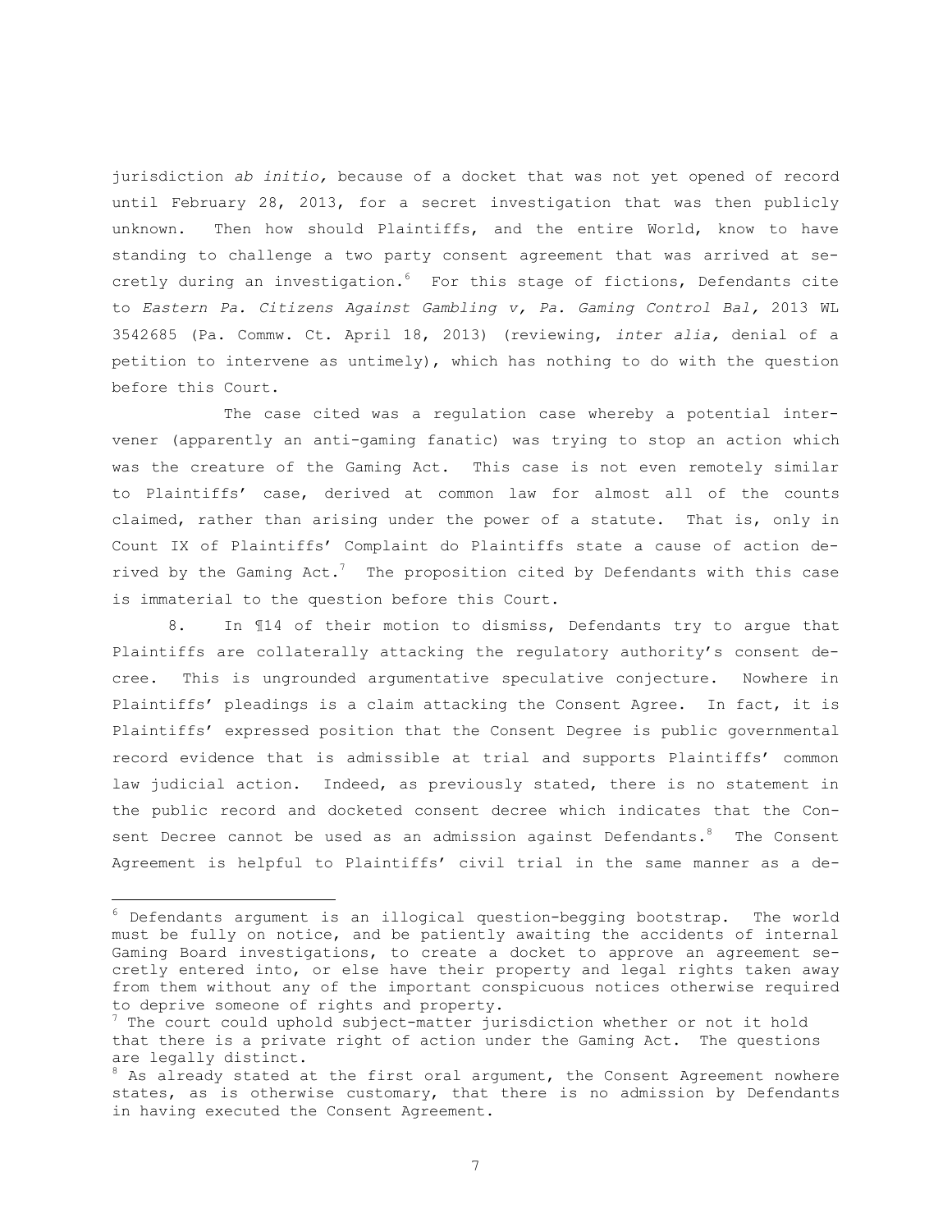jurisdiction *ab initio,* because of a docket that was not yet opened of record until February 28, 2013, for a secret investigation that was then publicly unknown. Then how should Plaintiffs, and the entire World, know to have standing to challenge a two party consent agreement that was arrived at secretly during an investigation.<sup>6</sup> For this stage of fictions, Defendants cite to *Eastern Pa. Citizens Against Gambling v, Pa. Gaming Control Bal,* 2013 WL 3542685 (Pa. Commw. Ct. April 18, 2013) (reviewing, *inter alia,* denial of a petition to intervene as untimely), which has nothing to do with the question before this Court.

The case cited was a regulation case whereby a potential intervener (apparently an anti-gaming fanatic) was trying to stop an action which was the creature of the Gaming Act. This case is not even remotely similar to Plaintiffs' case, derived at common law for almost all of the counts claimed, rather than arising under the power of a statute. That is, only in Count IX of Plaintiffs' Complaint do Plaintiffs state a cause of action derived by the Gaming  $Act.^7$  The proposition cited by Defendants with this case is immaterial to the question before this Court.

8. In ¶14 of their motion to dismiss, Defendants try to argue that Plaintiffs are collaterally attacking the regulatory authority's consent decree. This is ungrounded argumentative speculative conjecture. Nowhere in Plaintiffs' pleadings is a claim attacking the Consent Agree. In fact, it is Plaintiffs' expressed position that the Consent Degree is public governmental record evidence that is admissible at trial and supports Plaintiffs' common law judicial action. Indeed, as previously stated, there is no statement in the public record and docketed consent decree which indicates that the Consent Decree cannot be used as an admission against Defendants. <sup>8</sup> The Consent Agreement is helpful to Plaintiffs' civil trial in the same manner as a de-

 $\overline{a}$ 

 $6$  Defendants argument is an illogical question-begging bootstrap. The world must be fully on notice, and be patiently awaiting the accidents of internal Gaming Board investigations, to create a docket to approve an agreement secretly entered into, or else have their property and legal rights taken away from them without any of the important conspicuous notices otherwise required to deprive someone of rights and property.

 $^7$  The court could uphold subject-matter jurisdiction whether or not it hold that there is a private right of action under the Gaming Act. The questions are legally distinct.

 $8$  As already stated at the first oral argument, the Consent Agreement nowhere states, as is otherwise customary, that there is no admission by Defendants in having executed the Consent Agreement.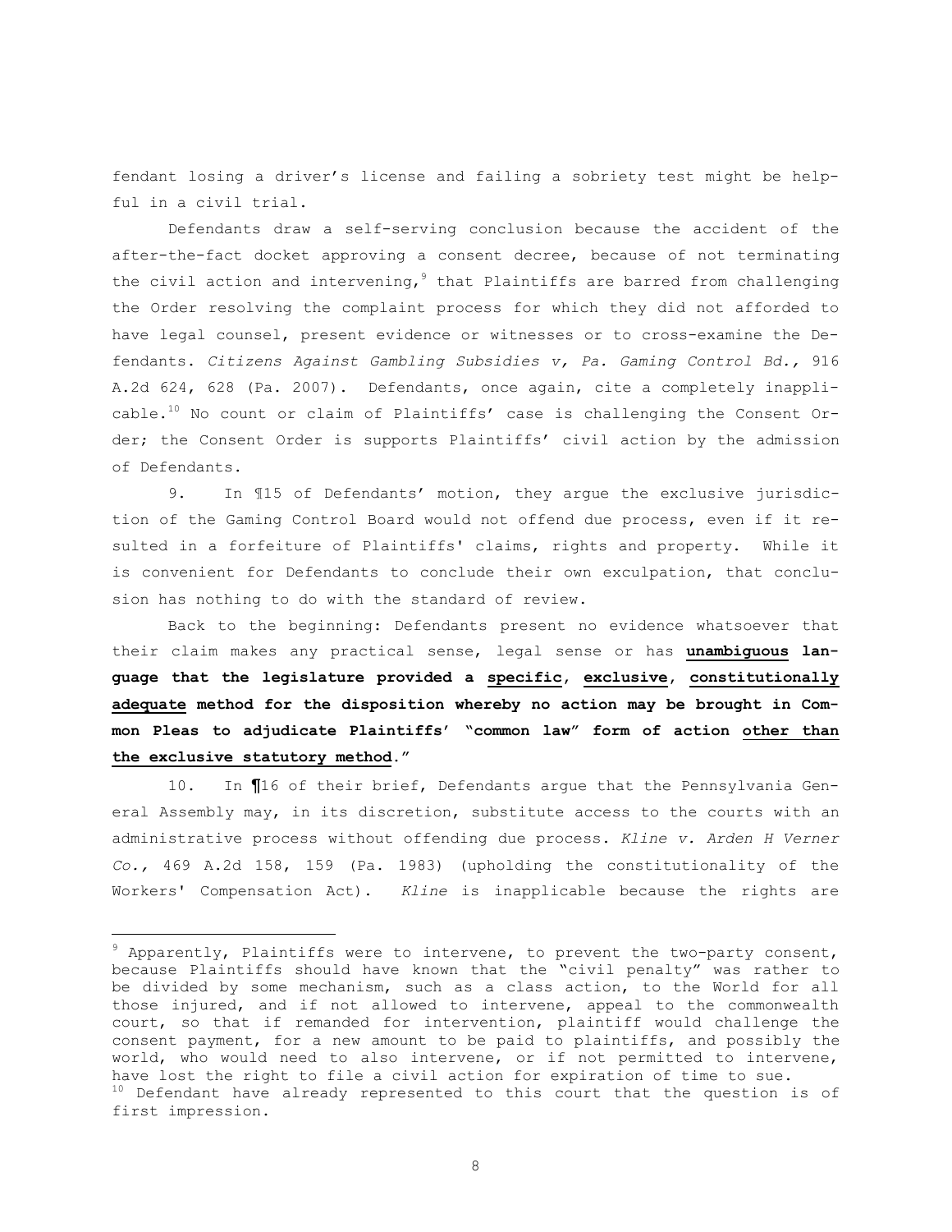fendant losing a driver's license and failing a sobriety test might be helpful in a civil trial.

Defendants draw a self-serving conclusion because the accident of the after-the-fact docket approving a consent decree, because of not terminating the civil action and intervening, $9$  that Plaintiffs are barred from challenging the Order resolving the complaint process for which they did not afforded to have legal counsel, present evidence or witnesses or to cross-examine the Defendants. *Citizens Against Gambling Subsidies v, Pa. Gaming Control Bd.,* 916 A.2d 624, 628 (Pa. 2007). Defendants, once again, cite a completely inapplicable.<sup>10</sup> No count or claim of Plaintiffs' case is challenging the Consent Order; the Consent Order is supports Plaintiffs' civil action by the admission of Defendants.

9. In ¶15 of Defendants' motion, they argue the exclusive jurisdiction of the Gaming Control Board would not offend due process, even if it resulted in a forfeiture of Plaintiffs' claims, rights and property. While it is convenient for Defendants to conclude their own exculpation, that conclusion has nothing to do with the standard of review.

Back to the beginning: Defendants present no evidence whatsoever that their claim makes any practical sense, legal sense or has **unambiguous language that the legislature provided a specific, exclusive, constitutionally adequate method for the disposition whereby no action may be brought in Common Pleas to adjudicate Plaintiffs' "common law" form of action other than the exclusive statutory method."**

10. In ¶16 of their brief, Defendants argue that the Pennsylvania General Assembly may, in its discretion, substitute access to the courts with an administrative process without offending due process. *Kline v. Arden H Verner Co.,* 469 A.2d 158, 159 (Pa. 1983) (upholding the constitutionality of the Workers' Compensation Act). *Kline* is inapplicable because the rights are

 $\overline{a}$ 

 $9$  Apparently, Plaintiffs were to intervene, to prevent the two-party consent, because Plaintiffs should have known that the "civil penalty" was rather to be divided by some mechanism, such as a class action, to the World for all those injured, and if not allowed to intervene, appeal to the commonwealth court, so that if remanded for intervention, plaintiff would challenge the consent payment, for a new amount to be paid to plaintiffs, and possibly the world, who would need to also intervene, or if not permitted to intervene, have lost the right to file a civil action for expiration of time to sue.  $10$  Defendant have already represented to this court that the question is of first impression.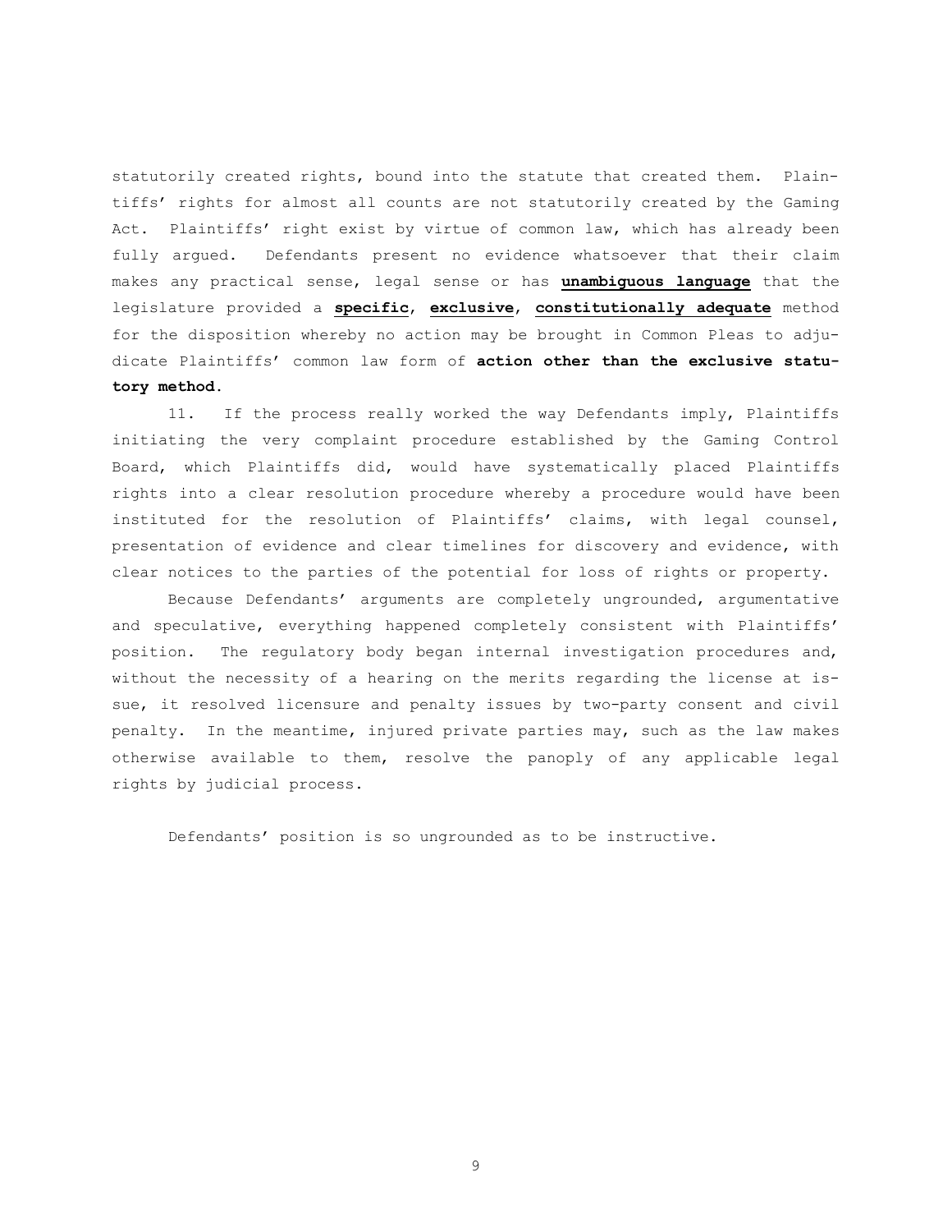statutorily created rights, bound into the statute that created them. Plaintiffs' rights for almost all counts are not statutorily created by the Gaming Act. Plaintiffs' right exist by virtue of common law, which has already been fully argued. Defendants present no evidence whatsoever that their claim makes any practical sense, legal sense or has **unambiguous language** that the legislature provided a **specific**, **exclusive**, **constitutionally adequate** method for the disposition whereby no action may be brought in Common Pleas to adjudicate Plaintiffs' common law form of **action other than the exclusive statutory method.**

11. If the process really worked the way Defendants imply, Plaintiffs initiating the very complaint procedure established by the Gaming Control Board, which Plaintiffs did, would have systematically placed Plaintiffs rights into a clear resolution procedure whereby a procedure would have been instituted for the resolution of Plaintiffs' claims, with legal counsel, presentation of evidence and clear timelines for discovery and evidence, with clear notices to the parties of the potential for loss of rights or property.

Because Defendants' arguments are completely ungrounded, argumentative and speculative, everything happened completely consistent with Plaintiffs' position. The regulatory body began internal investigation procedures and, without the necessity of a hearing on the merits regarding the license at issue, it resolved licensure and penalty issues by two-party consent and civil penalty. In the meantime, injured private parties may, such as the law makes otherwise available to them, resolve the panoply of any applicable legal rights by judicial process.

Defendants' position is so ungrounded as to be instructive.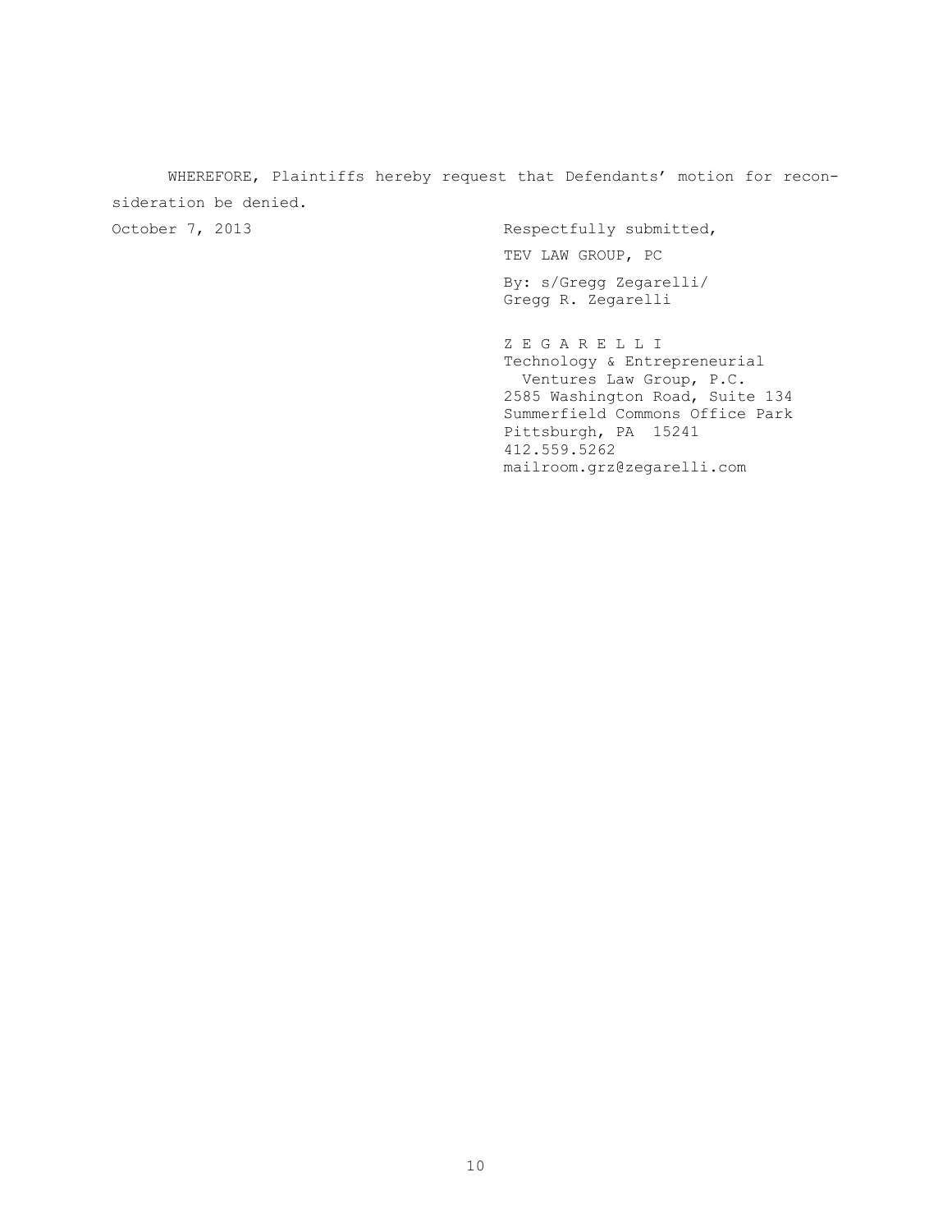WHEREFORE, Plaintiffs hereby request that Defendants' motion for reconsideration be denied.

October 7, 2013 Charles Respectfully submitted, TEV LAW GROUP, PC By: s/Gregg Zegarelli/ Gregg R. Zegarelli

> Z E G A R E L L I Technology & Entrepreneurial Ventures Law Group, P.C. 2585 Washington Road, Suite 134 Summerfield Commons Office Park Pittsburgh, PA 15241 412.559.5262 mailroom.grz@zegarelli.com